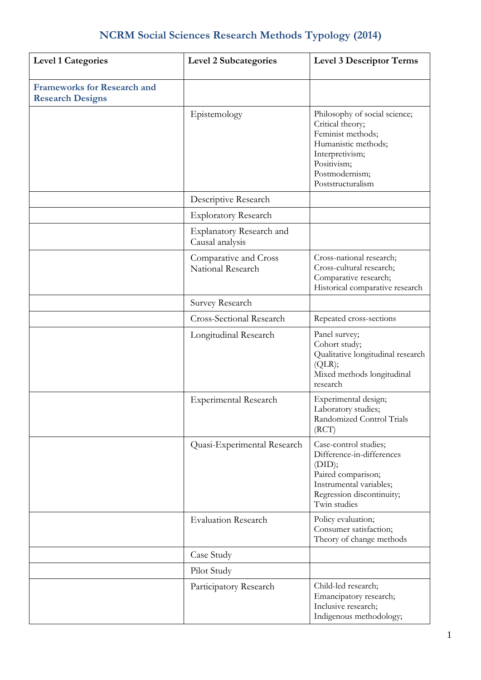## **NCRM Social Sciences Research Methods Typology (2014)**

| <b>Level 1 Categories</b>                                     | <b>Level 2 Subcategories</b>                | <b>Level 3 Descriptor Terms</b>                                                                                                                                        |
|---------------------------------------------------------------|---------------------------------------------|------------------------------------------------------------------------------------------------------------------------------------------------------------------------|
| <b>Frameworks for Research and</b><br><b>Research Designs</b> |                                             |                                                                                                                                                                        |
|                                                               | Epistemology                                | Philosophy of social science;<br>Critical theory;<br>Feminist methods;<br>Humanistic methods;<br>Interpretivism;<br>Positivism;<br>Postmodernism;<br>Poststructuralism |
|                                                               | Descriptive Research                        |                                                                                                                                                                        |
|                                                               | <b>Exploratory Research</b>                 |                                                                                                                                                                        |
|                                                               | Explanatory Research and<br>Causal analysis |                                                                                                                                                                        |
|                                                               | Comparative and Cross<br>National Research  | Cross-national research;<br>Cross-cultural research;<br>Comparative research;<br>Historical comparative research                                                       |
|                                                               | Survey Research                             |                                                                                                                                                                        |
|                                                               | Cross-Sectional Research                    | Repeated cross-sections                                                                                                                                                |
|                                                               | Longitudinal Research                       | Panel survey;<br>Cohort study;<br>Qualitative longitudinal research<br>(QLR);<br>Mixed methods longitudinal<br>research                                                |
|                                                               | Experimental Research                       | Experimental design;<br>Laboratory studies;<br>Randomized Control Trials<br>(RCT)                                                                                      |
|                                                               | Quasi-Experimental Research                 | Case-control studies;<br>Difference-in-differences<br>(DID);<br>Paired comparison;<br>Instrumental variables;<br>Regression discontinuity;<br>Twin studies             |
|                                                               | <b>Evaluation Research</b>                  | Policy evaluation;<br>Consumer satisfaction;<br>Theory of change methods                                                                                               |
|                                                               | Case Study                                  |                                                                                                                                                                        |
|                                                               | Pilot Study                                 |                                                                                                                                                                        |
|                                                               | Participatory Research                      | Child-led research;<br>Emancipatory research;<br>Inclusive research;<br>Indigenous methodology;                                                                        |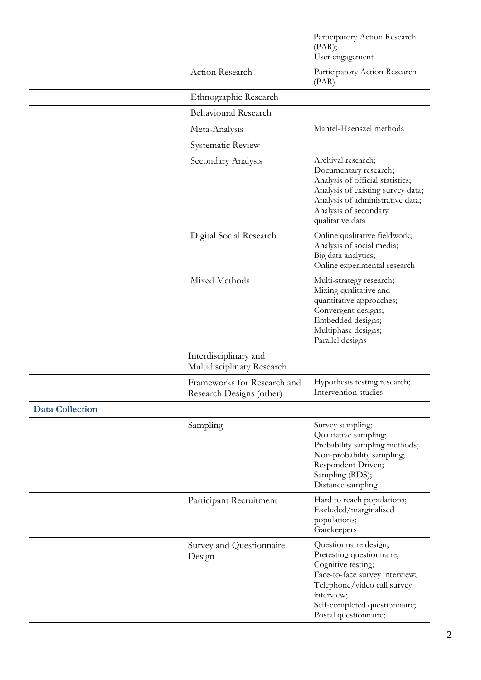|                        |                                                         | Participatory Action Research<br>(PAR);<br>User engagement                                                                                                                                                        |
|------------------------|---------------------------------------------------------|-------------------------------------------------------------------------------------------------------------------------------------------------------------------------------------------------------------------|
|                        | Action Research                                         | Participatory Action Research<br>(PAR)                                                                                                                                                                            |
|                        | Ethnographic Research                                   |                                                                                                                                                                                                                   |
|                        | <b>Behavioural Research</b>                             |                                                                                                                                                                                                                   |
|                        | Meta-Analysis                                           | Mantel-Haenszel methods                                                                                                                                                                                           |
|                        | Systematic Review                                       |                                                                                                                                                                                                                   |
|                        | Secondary Analysis                                      | Archival research;<br>Documentary research;<br>Analysis of official statistics;<br>Analysis of existing survey data;<br>Analysis of administrative data;<br>Analysis of secondary<br>qualitative data             |
|                        | Digital Social Research                                 | Online qualitative fieldwork;<br>Analysis of social media;<br>Big data analytics;<br>Online experimental research                                                                                                 |
|                        | Mixed Methods                                           | Multi-strategy research;<br>Mixing qualitative and<br>quantitative approaches;<br>Convergent designs;<br>Embedded designs;<br>Multiphase designs;<br>Parallel designs                                             |
|                        | Interdisciplinary and<br>Multidisciplinary Research     |                                                                                                                                                                                                                   |
|                        | Frameworks for Research and<br>Research Designs (other) | Hypothesis testing research;<br>Intervention studies                                                                                                                                                              |
| <b>Data Collection</b> |                                                         |                                                                                                                                                                                                                   |
|                        | Sampling                                                | Survey sampling;<br>Qualitative sampling;<br>Probability sampling methods;<br>Non-probability sampling;<br>Respondent Driven;<br>Sampling (RDS);<br>Distance sampling                                             |
|                        | Participant Recruitment                                 | Hard to reach populations;<br>Excluded/marginalised<br>populations;<br>Gatekeepers                                                                                                                                |
|                        | Survey and Questionnaire<br>Design                      | Questionnaire design;<br>Pretesting questionnaire;<br>Cognitive testing;<br>Face-to-face survey interview;<br>Telephone/video call survey<br>interview;<br>Self-completed questionnaire;<br>Postal questionnaire; |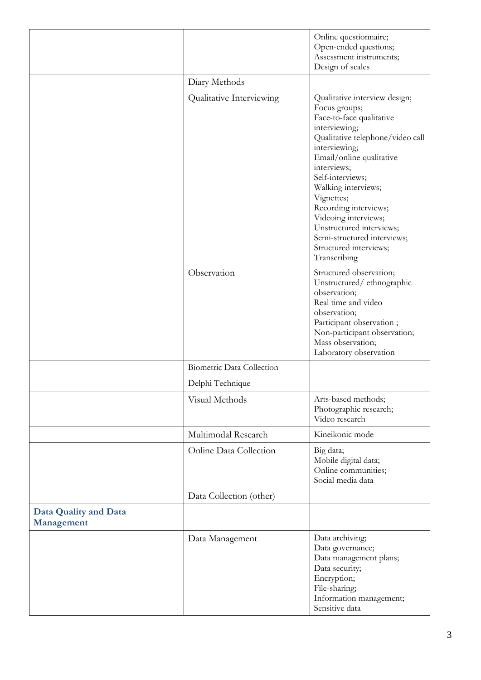|                                     |                           | Online questionnaire;<br>Open-ended questions;<br>Assessment instruments;<br>Design of scales                                                                                                                                                                                                                                                                                                              |
|-------------------------------------|---------------------------|------------------------------------------------------------------------------------------------------------------------------------------------------------------------------------------------------------------------------------------------------------------------------------------------------------------------------------------------------------------------------------------------------------|
|                                     | Diary Methods             |                                                                                                                                                                                                                                                                                                                                                                                                            |
|                                     | Qualitative Interviewing  | Qualitative interview design;<br>Focus groups;<br>Face-to-face qualitative<br>interviewing;<br>Qualitative telephone/video call<br>interviewing;<br>Email/online qualitative<br>interviews;<br>Self-interviews;<br>Walking interviews;<br>Vignettes;<br>Recording interviews;<br>Videoing interviews;<br>Unstructured interviews;<br>Semi-structured interviews;<br>Structured interviews;<br>Transcribing |
|                                     | Observation               | Structured observation;<br>Unstructured/ethnographic<br>observation;<br>Real time and video<br>observation;<br>Participant observation;<br>Non-participant observation;<br>Mass observation;<br>Laboratory observation                                                                                                                                                                                     |
|                                     | Biometric Data Collection |                                                                                                                                                                                                                                                                                                                                                                                                            |
|                                     | Delphi Technique          |                                                                                                                                                                                                                                                                                                                                                                                                            |
|                                     | Visual Methods            | Arts-based methods;<br>Photographic research;<br>Video research                                                                                                                                                                                                                                                                                                                                            |
|                                     | Multimodal Research       | Kineikonic mode                                                                                                                                                                                                                                                                                                                                                                                            |
|                                     | Online Data Collection    | Big data;<br>Mobile digital data;<br>Online communities;<br>Social media data                                                                                                                                                                                                                                                                                                                              |
|                                     | Data Collection (other)   |                                                                                                                                                                                                                                                                                                                                                                                                            |
| Data Quality and Data<br>Management |                           |                                                                                                                                                                                                                                                                                                                                                                                                            |
|                                     | Data Management           | Data archiving;<br>Data governance;<br>Data management plans;<br>Data security;<br>Encryption;<br>File-sharing;<br>Information management;<br>Sensitive data                                                                                                                                                                                                                                               |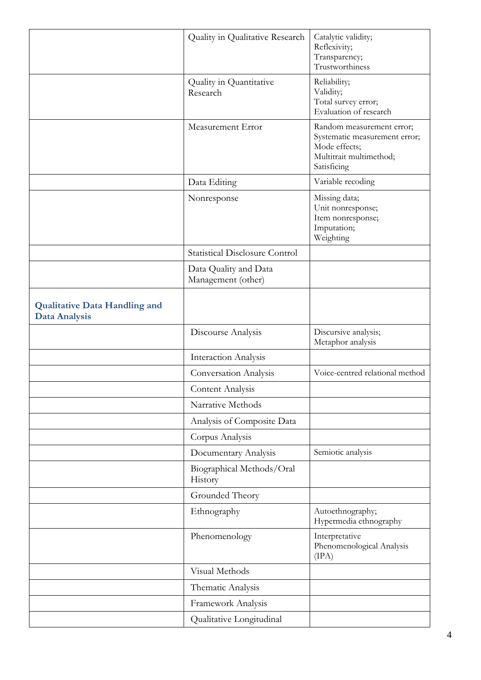|                                                              | Quality in Qualitative Research             | Catalytic validity;<br>Reflexivity;<br>Transparency;<br>Trustworthiness                                               |
|--------------------------------------------------------------|---------------------------------------------|-----------------------------------------------------------------------------------------------------------------------|
|                                                              | Quality in Quantitative<br>Research         | Reliability;<br>Validity;<br>Total survey error;<br>Evaluation of research                                            |
|                                                              | Measurement Error                           | Random measurement error;<br>Systematic measurement error;<br>Mode effects;<br>Multitrait multimethod;<br>Satisficing |
|                                                              | Data Editing                                | Variable recoding                                                                                                     |
|                                                              | Nonresponse                                 | Missing data;<br>Unit nonresponse;<br>Item nonresponse;<br>Imputation;<br>Weighting                                   |
|                                                              | <b>Statistical Disclosure Control</b>       |                                                                                                                       |
|                                                              | Data Quality and Data<br>Management (other) |                                                                                                                       |
| <b>Qualitative Data Handling and</b><br><b>Data Analysis</b> |                                             |                                                                                                                       |
|                                                              | Discourse Analysis                          | Discursive analysis;<br>Metaphor analysis                                                                             |
|                                                              | Interaction Analysis                        |                                                                                                                       |
|                                                              | <b>Conversation Analysis</b>                | Voice-centred relational method                                                                                       |
|                                                              | Content Analysis                            |                                                                                                                       |
|                                                              | Narrative Methods                           |                                                                                                                       |
|                                                              | Analysis of Composite Data                  |                                                                                                                       |
|                                                              | Corpus Analysis                             |                                                                                                                       |
|                                                              | Documentary Analysis                        | Semiotic analysis                                                                                                     |
|                                                              | Biographical Methods/Oral<br>History        |                                                                                                                       |
|                                                              | Grounded Theory                             |                                                                                                                       |
|                                                              | Ethnography                                 | Autoethnography;<br>Hypermedia ethnography                                                                            |
|                                                              | Phenomenology                               | Interpretative<br>Phenomenological Analysis<br>(IPA)                                                                  |
|                                                              | Visual Methods                              |                                                                                                                       |
|                                                              | Thematic Analysis                           |                                                                                                                       |
|                                                              | Framework Analysis                          |                                                                                                                       |
|                                                              | Qualitative Longitudinal                    |                                                                                                                       |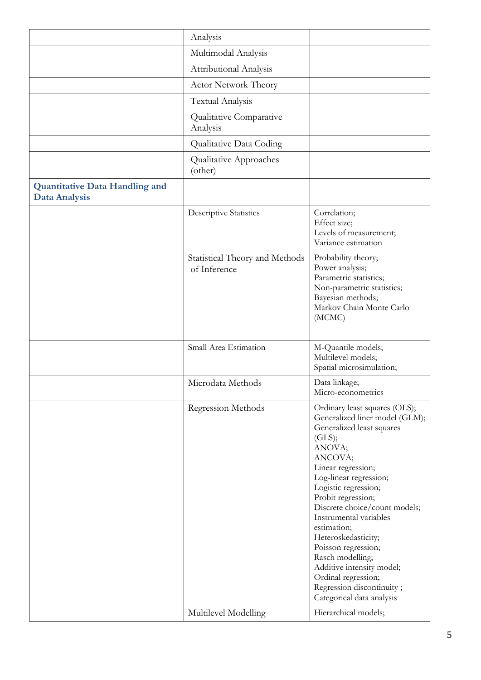|                                                               | Analysis                                       |                                                                                                                                                                                                                                                                                                                                                                                                                                                                                     |
|---------------------------------------------------------------|------------------------------------------------|-------------------------------------------------------------------------------------------------------------------------------------------------------------------------------------------------------------------------------------------------------------------------------------------------------------------------------------------------------------------------------------------------------------------------------------------------------------------------------------|
|                                                               | Multimodal Analysis                            |                                                                                                                                                                                                                                                                                                                                                                                                                                                                                     |
|                                                               | <b>Attributional Analysis</b>                  |                                                                                                                                                                                                                                                                                                                                                                                                                                                                                     |
|                                                               | <b>Actor Network Theory</b>                    |                                                                                                                                                                                                                                                                                                                                                                                                                                                                                     |
|                                                               | <b>Textual Analysis</b>                        |                                                                                                                                                                                                                                                                                                                                                                                                                                                                                     |
|                                                               | Qualitative Comparative<br>Analysis            |                                                                                                                                                                                                                                                                                                                                                                                                                                                                                     |
|                                                               | Qualitative Data Coding                        |                                                                                                                                                                                                                                                                                                                                                                                                                                                                                     |
|                                                               | Qualitative Approaches<br>(other)              |                                                                                                                                                                                                                                                                                                                                                                                                                                                                                     |
| <b>Quantitative Data Handling and</b><br><b>Data Analysis</b> |                                                |                                                                                                                                                                                                                                                                                                                                                                                                                                                                                     |
|                                                               | <b>Descriptive Statistics</b>                  | Correlation;<br>Effect size;<br>Levels of measurement;<br>Variance estimation                                                                                                                                                                                                                                                                                                                                                                                                       |
|                                                               | Statistical Theory and Methods<br>of Inference | Probability theory;<br>Power analysis;<br>Parametric statistics;<br>Non-parametric statistics;<br>Bayesian methods;<br>Markov Chain Monte Carlo<br>(MCMC)                                                                                                                                                                                                                                                                                                                           |
|                                                               | Small Area Estimation                          | M-Quantile models;<br>Multilevel models;<br>Spatial microsimulation;                                                                                                                                                                                                                                                                                                                                                                                                                |
|                                                               | Microdata Methods                              | Data linkage;<br>Micro-econometrics                                                                                                                                                                                                                                                                                                                                                                                                                                                 |
|                                                               | Regression Methods                             | Ordinary least squares (OLS);<br>Generalized liner model (GLM);<br>Generalized least squares<br>(GLS);<br>ANOVA;<br>ANCOVA;<br>Linear regression;<br>Log-linear regression;<br>Logistic regression;<br>Probit regression;<br>Discrete choice/count models;<br>Instrumental variables<br>estimation;<br>Heteroskedasticity;<br>Poisson regression;<br>Rasch modelling;<br>Additive intensity model;<br>Ordinal regression;<br>Regression discontinuity;<br>Categorical data analysis |
|                                                               | Multilevel Modelling                           | Hierarchical models;                                                                                                                                                                                                                                                                                                                                                                                                                                                                |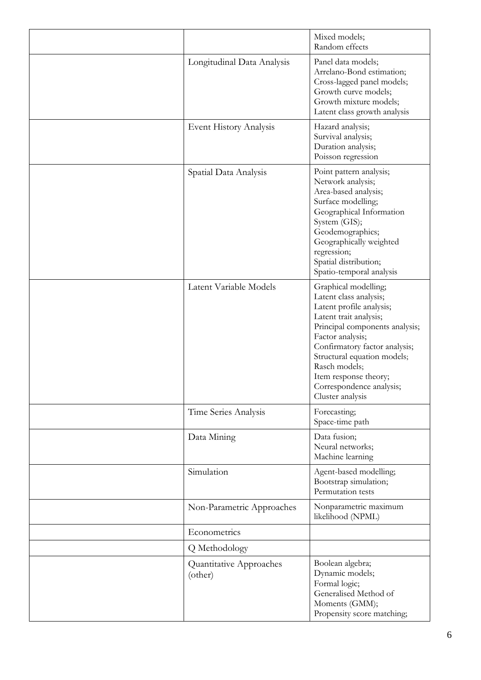|                                    | Mixed models;<br>Random effects                                                                                                                                                                                                                                                                                      |
|------------------------------------|----------------------------------------------------------------------------------------------------------------------------------------------------------------------------------------------------------------------------------------------------------------------------------------------------------------------|
| Longitudinal Data Analysis         | Panel data models;<br>Arrelano-Bond estimation;<br>Cross-lagged panel models;<br>Growth curve models;<br>Growth mixture models;<br>Latent class growth analysis                                                                                                                                                      |
| Event History Analysis             | Hazard analysis;<br>Survival analysis;<br>Duration analysis;<br>Poisson regression                                                                                                                                                                                                                                   |
| Spatial Data Analysis              | Point pattern analysis;<br>Network analysis;<br>Area-based analysis;<br>Surface modelling;<br>Geographical Information<br>System (GIS);<br>Geodemographics;<br>Geographically weighted<br>regression;<br>Spatial distribution;<br>Spatio-temporal analysis                                                           |
| Latent Variable Models             | Graphical modelling;<br>Latent class analysis;<br>Latent profile analysis;<br>Latent trait analysis;<br>Principal components analysis;<br>Factor analysis;<br>Confirmatory factor analysis;<br>Structural equation models;<br>Rasch models;<br>Item response theory;<br>Correspondence analysis;<br>Cluster analysis |
| Time Series Analysis               | Forecasting;<br>Space-time path                                                                                                                                                                                                                                                                                      |
| Data Mining                        | Data fusion;<br>Neural networks;<br>Machine learning                                                                                                                                                                                                                                                                 |
| Simulation                         | Agent-based modelling;<br>Bootstrap simulation;<br>Permutation tests                                                                                                                                                                                                                                                 |
| Non-Parametric Approaches          | Nonparametric maximum<br>likelihood (NPML)                                                                                                                                                                                                                                                                           |
| Econometrics                       |                                                                                                                                                                                                                                                                                                                      |
| Q Methodology                      |                                                                                                                                                                                                                                                                                                                      |
| Quantitative Approaches<br>(other) | Boolean algebra;<br>Dynamic models;<br>Formal logic;<br>Generalised Method of<br>Moments (GMM);<br>Propensity score matching;                                                                                                                                                                                        |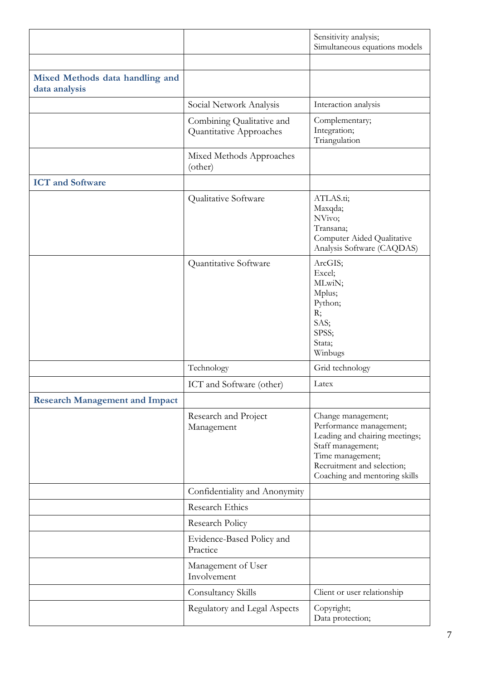|                                                  |                                                      | Sensitivity analysis;<br>Simultaneous equations models                                                                                                                                  |
|--------------------------------------------------|------------------------------------------------------|-----------------------------------------------------------------------------------------------------------------------------------------------------------------------------------------|
|                                                  |                                                      |                                                                                                                                                                                         |
| Mixed Methods data handling and<br>data analysis |                                                      |                                                                                                                                                                                         |
|                                                  | Social Network Analysis                              | Interaction analysis                                                                                                                                                                    |
|                                                  | Combining Qualitative and<br>Quantitative Approaches | Complementary;<br>Integration;<br>Triangulation                                                                                                                                         |
|                                                  | Mixed Methods Approaches<br>(other)                  |                                                                                                                                                                                         |
| <b>ICT</b> and Software                          |                                                      |                                                                                                                                                                                         |
|                                                  | Qualitative Software                                 | ATLAS.ti;<br>Maxqda;<br>NVivo;<br>Transana;<br>Computer Aided Qualitative<br>Analysis Software (CAQDAS)                                                                                 |
|                                                  | Quantitative Software                                | ArcGIS;<br>Excel;<br>MLwiN;<br>Mplus;<br>Python;<br>R;<br>SAS;<br>SPSS;<br>Stata;<br>Winbugs                                                                                            |
|                                                  | Technology                                           | Grid technology                                                                                                                                                                         |
|                                                  | ICT and Software (other)                             | Latex                                                                                                                                                                                   |
| <b>Research Management and Impact</b>            |                                                      |                                                                                                                                                                                         |
|                                                  | Research and Project<br>Management                   | Change management;<br>Performance management;<br>Leading and chairing meetings;<br>Staff management;<br>Time management;<br>Recruitment and selection;<br>Coaching and mentoring skills |
|                                                  | Confidentiality and Anonymity                        |                                                                                                                                                                                         |
|                                                  | Research Ethics                                      |                                                                                                                                                                                         |
|                                                  | Research Policy                                      |                                                                                                                                                                                         |
|                                                  | Evidence-Based Policy and<br>Practice                |                                                                                                                                                                                         |
|                                                  | Management of User<br>Involvement                    |                                                                                                                                                                                         |
|                                                  | Consultancy Skills                                   | Client or user relationship                                                                                                                                                             |
|                                                  | Regulatory and Legal Aspects                         | Copyright;<br>Data protection;                                                                                                                                                          |